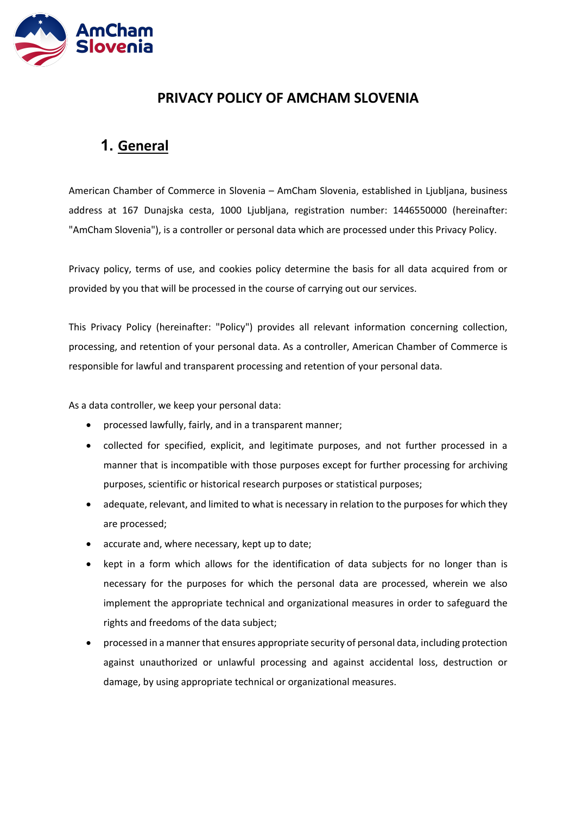

## **PRIVACY POLICY OF AMCHAM SLOVENIA**

## **1. General**

American Chamber of Commerce in Slovenia – AmCham Slovenia, established in Ljubljana, business address at 167 Dunajska cesta, 1000 Ljubljana, registration number: 1446550000 (hereinafter: "AmCham Slovenia"), is a controller or personal data which are processed under this Privacy Policy.

Privacy policy, terms of use, and cookies policy determine the basis for all data acquired from or provided by you that will be processed in the course of carrying out our services.

This Privacy Policy (hereinafter: "Policy") provides all relevant information concerning collection, processing, and retention of your personal data. As a controller, American Chamber of Commerce is responsible for lawful and transparent processing and retention of your personal data.

As a data controller, we keep your personal data:

- processed lawfully, fairly, and in a transparent manner;
- collected for specified, explicit, and legitimate purposes, and not further processed in a manner that is incompatible with those purposes except for further processing for archiving purposes, scientific or historical research purposes or statistical purposes;
- adequate, relevant, and limited to what is necessary in relation to the purposes for which they are processed;
- accurate and, where necessary, kept up to date;
- kept in a form which allows for the identification of data subjects for no longer than is necessary for the purposes for which the personal data are processed, wherein we also implement the appropriate technical and organizational measures in order to safeguard the rights and freedoms of the data subject;
- processed in a manner that ensures appropriate security of personal data, including protection against unauthorized or unlawful processing and against accidental loss, destruction or damage, by using appropriate technical or organizational measures.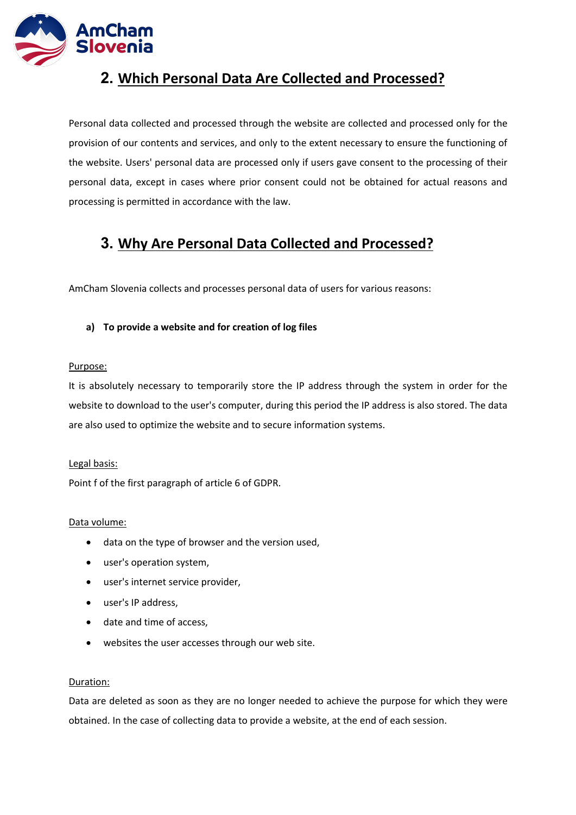

## **2. Which Personal Data Are Collected and Processed?**

Personal data collected and processed through the website are collected and processed only for the provision of our contents and services, and only to the extent necessary to ensure the functioning of the website. Users' personal data are processed only if users gave consent to the processing of their personal data, except in cases where prior consent could not be obtained for actual reasons and processing is permitted in accordance with the law.

## **3. Why Are Personal Data Collected and Processed?**

AmCham Slovenia collects and processes personal data of users for various reasons:

## **a) To provide a website and for creation of log files**

### Purpose:

It is absolutely necessary to temporarily store the IP address through the system in order for the website to download to the user's computer, during this period the IP address is also stored. The data are also used to optimize the website and to secure information systems.

### Legal basis:

Point f of the first paragraph of article 6 of GDPR.

### Data volume:

- data on the type of browser and the version used,
- user's operation system,
- user's internet service provider,
- user's IP address,
- date and time of access,
- websites the user accesses through our web site.

### Duration:

Data are deleted as soon as they are no longer needed to achieve the purpose for which they were obtained. In the case of collecting data to provide a website, at the end of each session.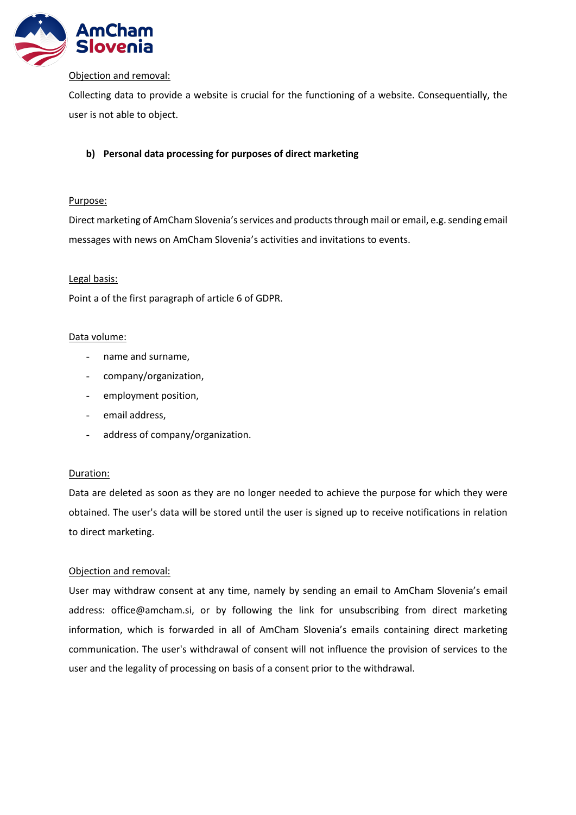

#### Objection and removal:

Collecting data to provide a website is crucial for the functioning of a website. Consequentially, the user is not able to object.

## **b) Personal data processing for purposes of direct marketing**

### Purpose:

Direct marketing of AmCham Slovenia's services and products through mail or email, e.g. sending email messages with news on AmCham Slovenia's activities and invitations to events.

### Legal basis:

Point a of the first paragraph of article 6 of GDPR.

### Data volume:

- name and surname,
- company/organization,
- employment position,
- email address,
- address of company/organization.

#### Duration:

Data are deleted as soon as they are no longer needed to achieve the purpose for which they were obtained. The user's data will be stored until the user is signed up to receive notifications in relation to direct marketing.

#### Objection and removal:

User may withdraw consent at any time, namely by sending an email to AmCham Slovenia's email address: office@amcham.si, or by following the link for unsubscribing from direct marketing information, which is forwarded in all of AmCham Slovenia's emails containing direct marketing communication. The user's withdrawal of consent will not influence the provision of services to the user and the legality of processing on basis of a consent prior to the withdrawal.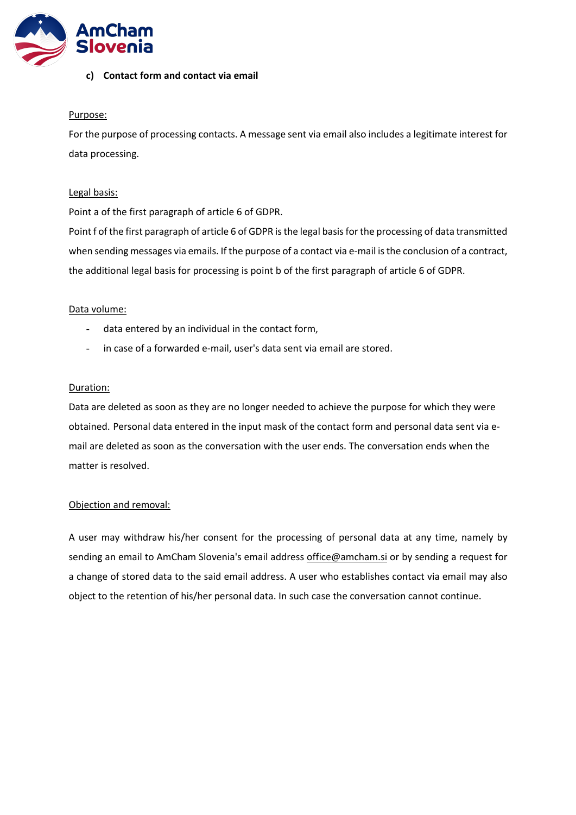

#### **c) Contact form and contact via email**

#### Purpose:

For the purpose of processing contacts. A message sent via email also includes a legitimate interest for data processing.

#### Legal basis:

Point a of the first paragraph of article 6 of GDPR.

Point f of the first paragraph of article 6 of GDPR is the legal basis for the processing of data transmitted when sending messages via emails. If the purpose of a contact via e-mail is the conclusion of a contract, the additional legal basis for processing is point b of the first paragraph of article 6 of GDPR.

#### Data volume:

- data entered by an individual in the contact form,
- in case of a forwarded e-mail, user's data sent via email are stored.

#### Duration:

Data are deleted as soon as they are no longer needed to achieve the purpose for which they were obtained. Personal data entered in the input mask of the contact form and personal data sent via email are deleted as soon as the conversation with the user ends. The conversation ends when the matter is resolved.

#### Objection and removal:

A user may withdraw his/her consent for the processing of personal data at any time, namely by sending an email to AmCham Slovenia's email address office@amcham.si or by sending a request for a change of stored data to the said email address. A user who establishes contact via email may also object to the retention of his/her personal data. In such case the conversation cannot continue.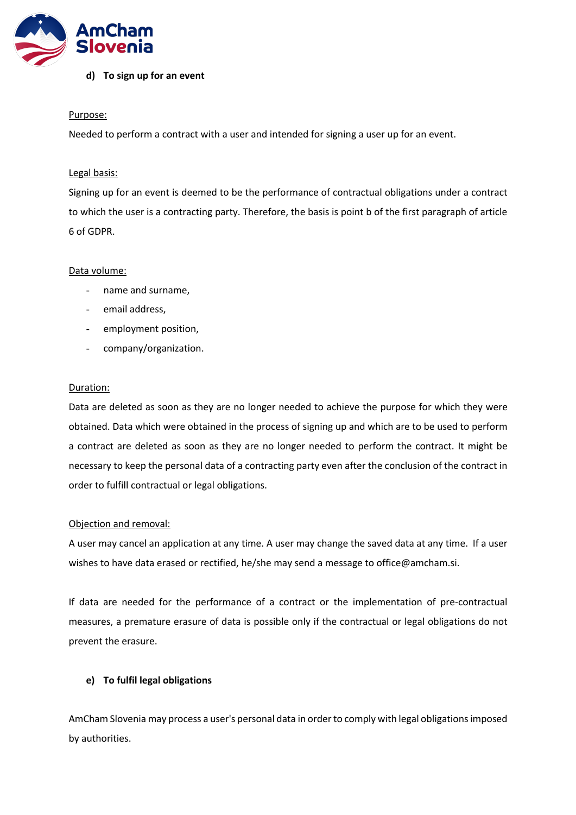

#### **d) To sign up for an event**

#### Purpose:

Needed to perform a contract with a user and intended for signing a user up for an event.

#### Legal basis:

Signing up for an event is deemed to be the performance of contractual obligations under a contract to which the user is a contracting party. Therefore, the basis is point b of the first paragraph of article 6 of GDPR.

#### Data volume:

- name and surname,
- email address,
- employment position,
- company/organization.

#### Duration:

Data are deleted as soon as they are no longer needed to achieve the purpose for which they were obtained. Data which were obtained in the process of signing up and which are to be used to perform a contract are deleted as soon as they are no longer needed to perform the contract. It might be necessary to keep the personal data of a contracting party even after the conclusion of the contract in order to fulfill contractual or legal obligations.

#### Objection and removal:

A user may cancel an application at any time. A user may change the saved data at any time. If a user wishes to have data erased or rectified, he/she may send a message to office@amcham.si.

If data are needed for the performance of a contract or the implementation of pre-contractual measures, a premature erasure of data is possible only if the contractual or legal obligations do not prevent the erasure.

#### **e) To fulfil legal obligations**

AmCham Slovenia may process a user's personal data in order to comply with legal obligations imposed by authorities.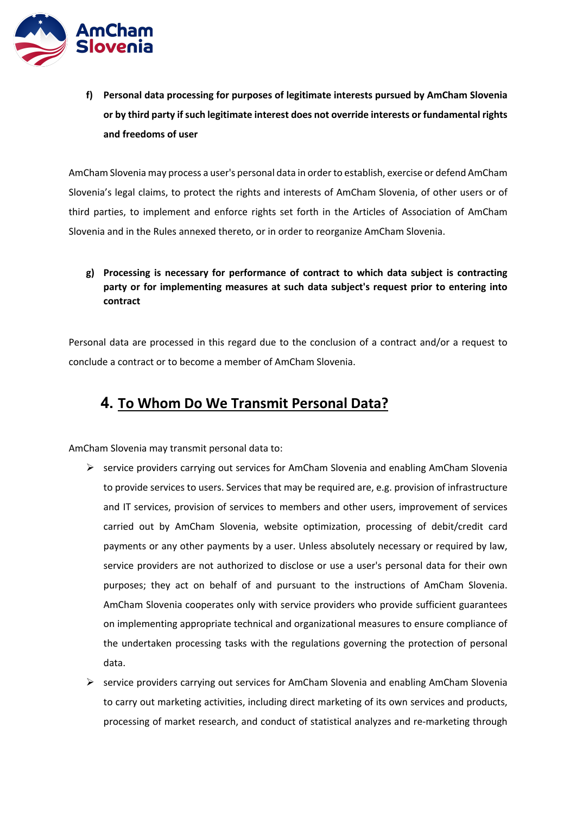

**f) Personal data processing for purposes of legitimate interests pursued by AmCham Slovenia or by third party if such legitimate interest does not override interests or fundamental rights and freedoms of user**

AmCham Slovenia may process a user's personal data in order to establish, exercise or defend AmCham Slovenia's legal claims, to protect the rights and interests of AmCham Slovenia, of other users or of third parties, to implement and enforce rights set forth in the Articles of Association of AmCham Slovenia and in the Rules annexed thereto, or in order to reorganize AmCham Slovenia.

## **g) Processing is necessary for performance of contract to which data subject is contracting party or for implementing measures at such data subject's request prior to entering into contract**

Personal data are processed in this regard due to the conclusion of a contract and/or a request to conclude a contract or to become a member of AmCham Slovenia.

## **4. To Whom Do We Transmit Personal Data?**

AmCham Slovenia may transmit personal data to:

- $\triangleright$  service providers carrying out services for AmCham Slovenia and enabling AmCham Slovenia to provide services to users. Services that may be required are, e.g. provision of infrastructure and IT services, provision of services to members and other users, improvement of services carried out by AmCham Slovenia, website optimization, processing of debit/credit card payments or any other payments by a user. Unless absolutely necessary or required by law, service providers are not authorized to disclose or use a user's personal data for their own purposes; they act on behalf of and pursuant to the instructions of AmCham Slovenia. AmCham Slovenia cooperates only with service providers who provide sufficient guarantees on implementing appropriate technical and organizational measures to ensure compliance of the undertaken processing tasks with the regulations governing the protection of personal data.
- $\triangleright$  service providers carrying out services for AmCham Slovenia and enabling AmCham Slovenia to carry out marketing activities, including direct marketing of its own services and products, processing of market research, and conduct of statistical analyzes and re-marketing through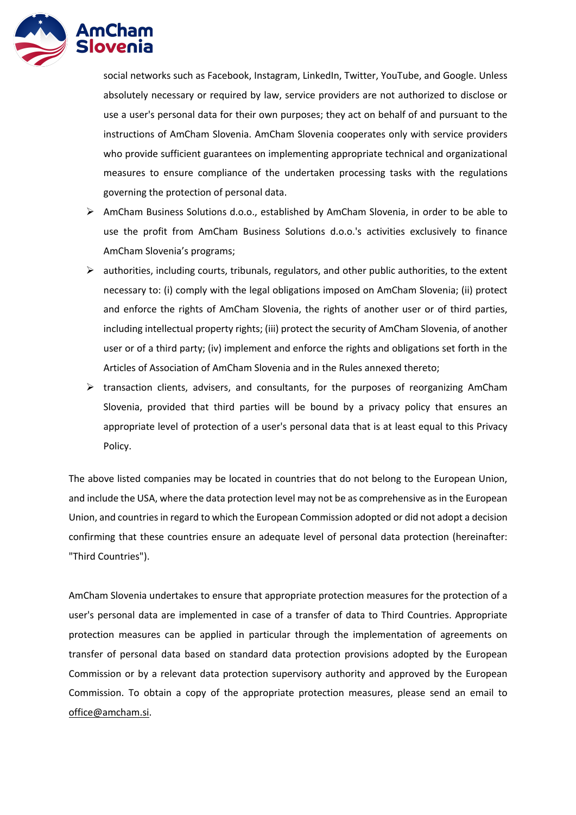

social networks such as Facebook, Instagram, LinkedIn, Twitter, YouTube, and Google. Unless absolutely necessary or required by law, service providers are not authorized to disclose or use a user's personal data for their own purposes; they act on behalf of and pursuant to the instructions of AmCham Slovenia. AmCham Slovenia cooperates only with service providers who provide sufficient guarantees on implementing appropriate technical and organizational measures to ensure compliance of the undertaken processing tasks with the regulations governing the protection of personal data.

- $\triangleright$  AmCham Business Solutions d.o.o., established by AmCham Slovenia, in order to be able to use the profit from AmCham Business Solutions d.o.o.'s activities exclusively to finance AmCham Slovenia's programs;
- $\triangleright$  authorities, including courts, tribunals, regulators, and other public authorities, to the extent necessary to: (i) comply with the legal obligations imposed on AmCham Slovenia; (ii) protect and enforce the rights of AmCham Slovenia, the rights of another user or of third parties, including intellectual property rights; (iii) protect the security of AmCham Slovenia, of another user or of a third party; (iv) implement and enforce the rights and obligations set forth in the Articles of Association of AmCham Slovenia and in the Rules annexed thereto;
- $\triangleright$  transaction clients, advisers, and consultants, for the purposes of reorganizing AmCham Slovenia, provided that third parties will be bound by a privacy policy that ensures an appropriate level of protection of a user's personal data that is at least equal to this Privacy Policy.

The above listed companies may be located in countries that do not belong to the European Union, and include the USA, where the data protection level may not be as comprehensive as in the European Union, and countries in regard to which the European Commission adopted or did not adopt a decision confirming that these countries ensure an adequate level of personal data protection (hereinafter: "Third Countries").

AmCham Slovenia undertakes to ensure that appropriate protection measures for the protection of a user's personal data are implemented in case of a transfer of data to Third Countries. Appropriate protection measures can be applied in particular through the implementation of agreements on transfer of personal data based on standard data protection provisions adopted by the European Commission or by a relevant data protection supervisory authority and approved by the European Commission. To obtain a copy of the appropriate protection measures, please send an email to office@amcham.si.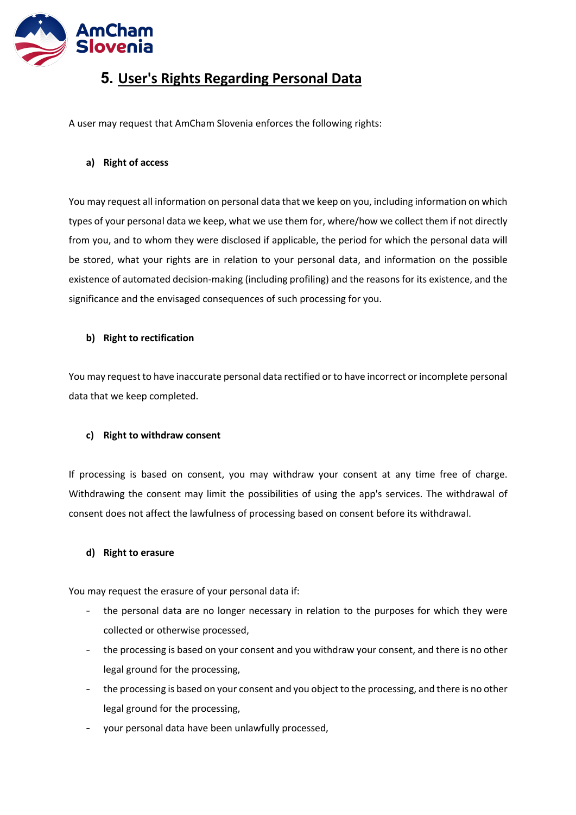

## **5. User's Rights Regarding Personal Data**

A user may request that AmCham Slovenia enforces the following rights:

### **a) Right of access**

You may request all information on personal data that we keep on you, including information on which types of your personal data we keep, what we use them for, where/how we collect them if not directly from you, and to whom they were disclosed if applicable, the period for which the personal data will be stored, what your rights are in relation to your personal data, and information on the possible existence of automated decision-making (including profiling) and the reasons for its existence, and the significance and the envisaged consequences of such processing for you.

### **b) Right to rectification**

You may request to have inaccurate personal data rectified or to have incorrect or incomplete personal data that we keep completed.

### **c) Right to withdraw consent**

If processing is based on consent, you may withdraw your consent at any time free of charge. Withdrawing the consent may limit the possibilities of using the app's services. The withdrawal of consent does not affect the lawfulness of processing based on consent before its withdrawal.

### **d) Right to erasure**

You may request the erasure of your personal data if:

- the personal data are no longer necessary in relation to the purposes for which they were collected or otherwise processed,
- the processing is based on your consent and you withdraw your consent, and there is no other legal ground for the processing,
- the processing is based on your consent and you object to the processing, and there is no other legal ground for the processing,
- your personal data have been unlawfully processed,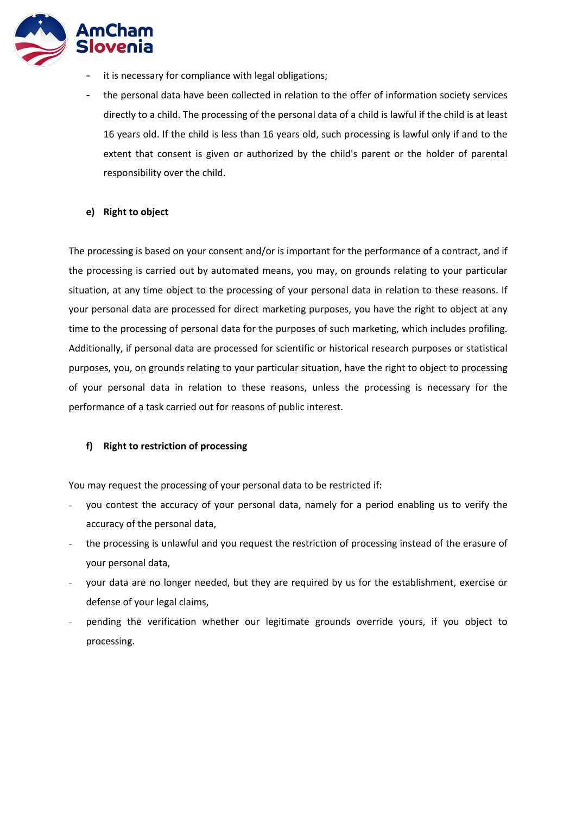

- it is necessary for compliance with legal obligations;
- the personal data have been collected in relation to the offer of information society services directly to a child. The processing of the personal data of a child is lawful if the child is at least 16 years old. If the child is less than 16 years old, such processing is lawful only if and to the extent that consent is given or authorized by the child's parent or the holder of parental responsibility over the child.

#### **e) Right to object**

The processing is based on your consent and/or is important for the performance of a contract, and if the processing is carried out by automated means, you may, on grounds relating to your particular situation, at any time object to the processing of your personal data in relation to these reasons. If your personal data are processed for direct marketing purposes, you have the right to object at any time to the processing of personal data for the purposes of such marketing, which includes profiling. Additionally, if personal data are processed for scientific or historical research purposes or statistical purposes, you, on grounds relating to your particular situation, have the right to object to processing of your personal data in relation to these reasons, unless the processing is necessary for the performance of a task carried out for reasons of public interest.

#### **f) Right to restriction of processing**

You may request the processing of your personal data to be restricted if:

- you contest the accuracy of your personal data, namely for a period enabling us to verify the accuracy of the personal data,
- the processing is unlawful and you request the restriction of processing instead of the erasure of your personal data,
- your data are no longer needed, but they are required by us for the establishment, exercise or defense of your legal claims,
- pending the verification whether our legitimate grounds override yours, if you object to processing.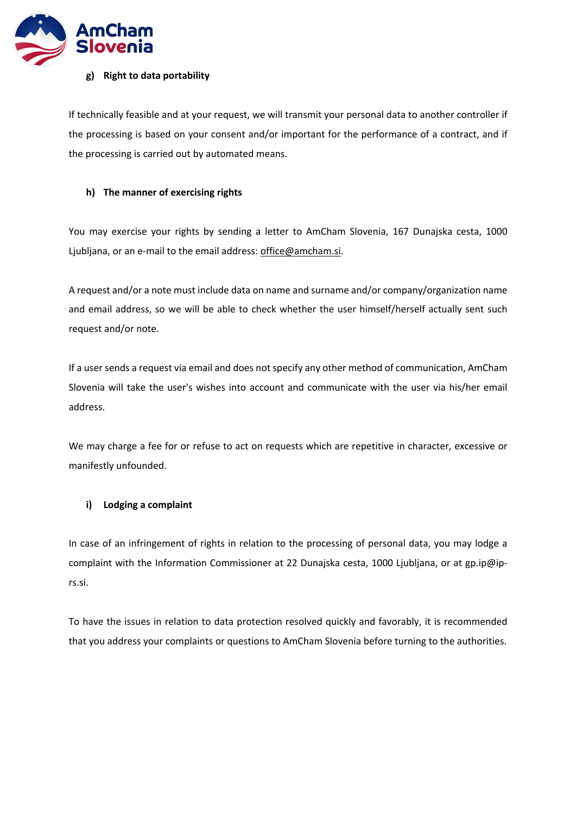

#### **g) Right to data portability**

If technically feasible and at your request, we will transmit your personal data to another controller if the processing is based on your consent and/or important for the performance of a contract, and if the processing is carried out by automated means.

### **h) The manner of exercising rights**

You may exercise your rights by sending a letter to AmCham Slovenia, 167 Dunajska cesta, 1000 Ljubljana, or an e-mail to the email address: office@amcham.si.

A request and/or a note must include data on name and surname and/or company/organization name and email address, so we will be able to check whether the user himself/herself actually sent such request and/or note.

If a user sends a request via email and does not specify any other method of communication, AmCham Slovenia will take the user's wishes into account and communicate with the user via his/her email address.

We may charge a fee for or refuse to act on requests which are repetitive in character, excessive or manifestly unfounded.

### **i) Lodging a complaint**

In case of an infringement of rights in relation to the processing of personal data, you may lodge a complaint with the Information Commissioner at 22 Dunajska cesta, 1000 Ljubljana, or at gp.ip@iprs.si.

To have the issues in relation to data protection resolved quickly and favorably, it is recommended that you address your complaints or questions to AmCham Slovenia before turning to the authorities.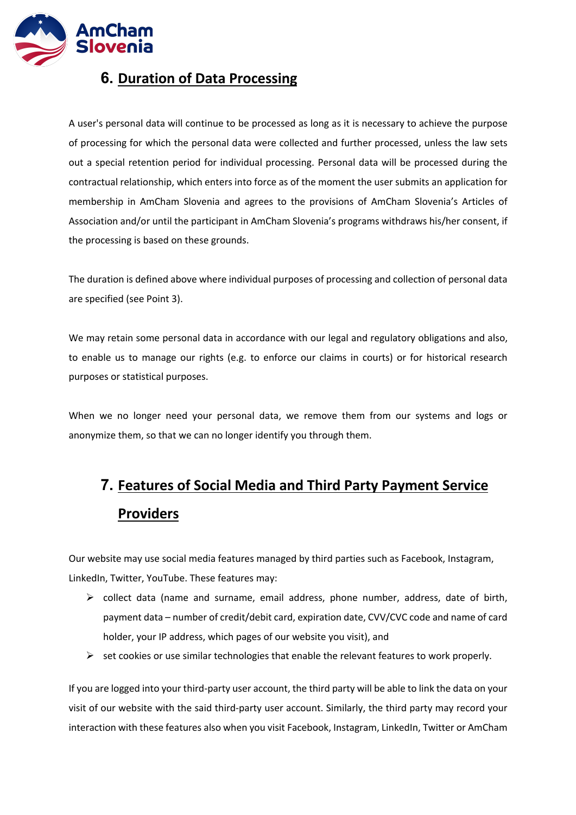

## **6. Duration of Data Processing**

A user's personal data will continue to be processed as long as it is necessary to achieve the purpose of processing for which the personal data were collected and further processed, unless the law sets out a special retention period for individual processing. Personal data will be processed during the contractual relationship, which enters into force as of the moment the user submits an application for membership in AmCham Slovenia and agrees to the provisions of AmCham Slovenia's Articles of Association and/or until the participant in AmCham Slovenia's programs withdraws his/her consent, if the processing is based on these grounds.

The duration is defined above where individual purposes of processing and collection of personal data are specified (see Point 3).

We may retain some personal data in accordance with our legal and regulatory obligations and also, to enable us to manage our rights (e.g. to enforce our claims in courts) or for historical research purposes or statistical purposes.

When we no longer need your personal data, we remove them from our systems and logs or anonymize them, so that we can no longer identify you through them.

# **7. Features of Social Media and Third Party Payment Service Providers**

Our website may use social media features managed by third parties such as Facebook, Instagram, LinkedIn, Twitter, YouTube. These features may:

- $\triangleright$  collect data (name and surname, email address, phone number, address, date of birth, payment data – number of credit/debit card, expiration date, CVV/CVC code and name of card holder, your IP address, which pages of our website you visit), and
- $\triangleright$  set cookies or use similar technologies that enable the relevant features to work properly.

If you are logged into your third-party user account, the third party will be able to link the data on your visit of our website with the said third-party user account. Similarly, the third party may record your interaction with these features also when you visit Facebook, Instagram, LinkedIn, Twitter or AmCham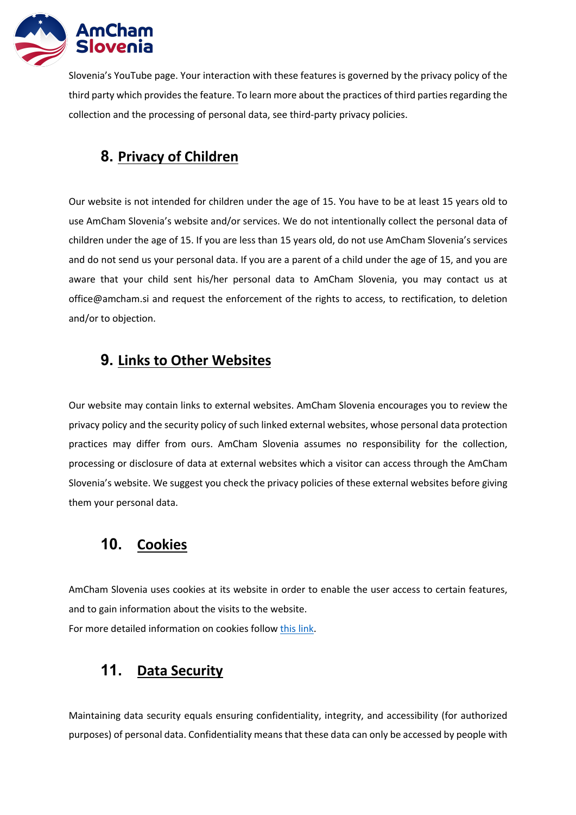

Slovenia's YouTube page. Your interaction with these features is governed by the privacy policy of the third party which provides the feature. To learn more about the practices of third parties regarding the collection and the processing of personal data, see third-party privacy policies.

## **8. Privacy of Children**

Our website is not intended for children under the age of 15. You have to be at least 15 years old to use AmCham Slovenia's website and/or services. We do not intentionally collect the personal data of children under the age of 15. If you are less than 15 years old, do not use AmCham Slovenia's services and do not send us your personal data. If you are a parent of a child under the age of 15, and you are aware that your child sent his/her personal data to AmCham Slovenia, you may contact us at office@amcham.si and request the enforcement of the rights to access, to rectification, to deletion and/or to objection.

## **9. Links to Other Websites**

Our website may contain links to external websites. AmCham Slovenia encourages you to review the privacy policy and the security policy of such linked external websites, whose personal data protection practices may differ from ours. AmCham Slovenia assumes no responsibility for the collection, processing or disclosure of data at external websites which a visitor can access through the AmCham Slovenia's website. We suggest you check the privacy policies of these external websites before giving them your personal data.

## **10. Cookies**

AmCham Slovenia uses cookies at its website in order to enable the user access to certain features, and to gain information about the visits to the website. For more detailed information on cookies follow this link.

## **11. Data Security**

Maintaining data security equals ensuring confidentiality, integrity, and accessibility (for authorized purposes) of personal data. Confidentiality means that these data can only be accessed by people with